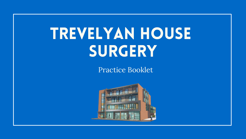# TREVELYAN HOUSE SURGERY

Practice Booklet



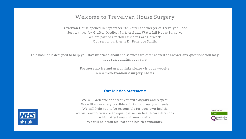## Welcome to Trevelyan House Surgery

Trevelyan House opened in September 2013 after the merger of Trevelyan Road Surgery (run by Grafton Medical Partners) and Waterfall House Surgery. We are part of Grafton Primary Care Network. Our senior partner is Dr Penelope Smith.

This booklet is designed to help you stay informed about the services we offer as well as answer any questions you may have surrounding your care.

> For more advice and useful links please visit our website www.trevelyanhousesurgery.nhs.uk

### **Our Mission Statement:**

We will welcome and treat you with dignity and respect. We will make every possible effort to address your needs. We will help you to be responsible for your own health. We will ensure you are an equal partner in health care decisions which affect you and your family. We will help you feel part of a health community.



Inspected and rated Good

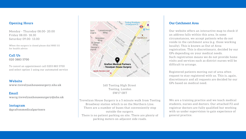### **Opening Hours**

Monday - Thursday 08.00-20.00 Friday 08.00-18.30 Saturday 09.00-13.00

When the surgery is closed please dial NHS 111 for health advice

### Call Us 020 3883 5700

To cancel an appointment call 0203 883 5700 and select option 1 using our automated service

### Website

www.trevelyanhousesurgery.nhs.uk

### Email

waccg.trevelyanhousesurgery@nhs.uk

### Instagram @graftonmedicalpartners



160 Tooting High Street Tooting, London SW17 ORT

We are a training practice and we teach medical Trevelyan House Surgery is a 5 minute walk from Tooting students, nurses and doctors. Our attached F2 and Broadway station which is on the Northern Line. registrar doctors are fully qualified but working There are a number of buses that conveniently stop with us under supervision to gain experience of outside the surgery. There is no patient parking on site. There are plenty of general practice.

parking meters on adjacent side roads.

### **Our Catchment Area**

Our website offers an interactive map to check if an address falls within this area. In some circumstances, we accept patients who do not reside in the catchment area (e.g. those working locally). This is known as Out of Area registration. This is discretionary, decided by our GPs depending on your medical needs. Such registration means we do not provide home visits and services such as district nurses will be difficult to arrange.

Registered patients moving out of area often request to stay registered with us. This is, again, discretionary and all requests are decided by our GPs based on medical need.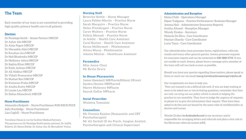### **The Team**

Each member of our team is are committed to providing high quality primary health care to all patients.

### **Doctors**

Dr Penelope Smith - Senior Partner MRCGP Dr Azhar Ala MRCGP Dr Alain Popov MRCGP Dr Mersedeh Abiri MRCGP Dr Roushan Ara MRCGP Dr Neil Bhadresha MRCGP Dr Melloney Johns MRCGP Dr Sophia Khan MRCGP Dr Katie Jackson MRCGP Dr Ali Alidina MRCGP Dr Vidath Premaratne MRCGP Dr Shafaat Bari MRCGP Dr Kumaran Prabu MRCGP Dr Anisha Kutty MRCGP Dr Louise Lau MRCGP Dr Stefan Momcilovic MRCGP

### **Nurse Practitioners**

Alexandra Redpath - Nurse Practitioner RGN RSCN PGCE Sally Routledge - Nurse Practitioner Liza Coghill - Nurse Practitioner

Trevelyan House is run by Grafton Medical Partners. The partners are Dr Penelope Smith (senior partner), Dr Judith Roberts, Dr Simon Rohde, Dr Azhar Ala, Dr Bernadette Veiras,

### **Nursing Staff**

Beverley Kettle - Nurse Manager Laura Pablos-Martin - Practice Nurse Sarah Macquire - Practice Nurse Helen Prendergast - Practice Nurse Carys Walters - Practice Nurse Felicia Mensah - Practice Nurse Jo Ashby - Health Care Assistant Carol Burton - Health Care Assistant Keron McDermott - Phlebotomist Altina Mucoj - Phlebotomist Jolanta Misztal - Healthcare Assistant

**Paramedics** Miss Jenny Clout Mr Kevin Drury

### **In-House Pharmacists**

James Hammell MRPharmS(Hons) (IPresc) Sandra Henien MRPharmS Maeve Mckenny MPharm Saarah Gaffar MPharm

### **Social Prescriber**

Wioletta Tomialojc

### **Counsellors**

Ms Verenia Rajaloo (Humanistic and CBT Psychotherapist) Mr Ali Zarbafi (D An Psych, Jungian Analyst, Psychotherapist and Clinical Supervisor)

### **Administration and Reception**

Maisa Child - Operations Manager Dipan Vadgama - Practice Performance/ Business Manager Jemma Hall - Administrator (Insurance Reports) Ayisha Ahmed - Reception Manager **Wendy Drakes - Secretary** Melanie Da Silva-Care Coordinator Mariam Gharda-Care Coordinator Lucia Tiana - Care Coordinator

Our administration team processes forms, registrations, referrals, results and many other general queries. Jemma processes requests for insurance reports and can be contacted on 020 3883 5713. If you are unable to reach Jemma, please leave a message and a member of the team will call you back as soon as possible.

Should you have any queries regarding these matters, please speak to them or reach out via email waccg.trevelyanhousesurgery@nhs.uk

Our receptionists are here to help you.

They are trained to do a difficult job well. If you are kept waiting or seem to be asked one or two irritating questions, remember that they are only carrying out our policy which is aimed at helping the practice to run smoothly. They have to judge the urgency of requests, so please try to give the information they require. They have been asked to do this and are bound by the same rules of confidentiality as doctors and nurses.

Wendy Drakes (w.drakes@nhs.net) is our secretary and is responsible for arranging letters and referrals and plays a key role in the Electronic referrals system (eRS).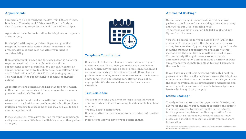### Appointments

Surgeries are held throughout the day from 8:00am to 8pm. Monday to Thursday and 8:00am to 6:30pm on Fridays. Saturday morning surgeries are held from 9:00am to 1pm.

Appointments can be made online, by telephone, or in person at the surgery.

It is helpful with urgent problems if you can give the receptionist some information about the nature of the problem, although this does not affect your right to confidentiality.

If an appointment is made and for some reason is no longer required, we do ask that you phone to cancel the appointment as soon as possible. You can easily cancel an appointment online or by telephoning our cancellation Line on: 020 3883 5729 or 020 3883 5700 and keying option 1. This will enable the appointment to be used for another patient.

Appointments are booked at the NHS standard rate, which is 10 minutes per appointment. Longer appointments can be given at the doctor's discretion.

At your appointment the doctor will give you as long as is necessary to deal with your problem safely, but if you have multiple problems to discuss, he or she may ask you to book another appointment.

Please ensure that you arrive on time for your appointment, as if you are even a little late it will delay every other patient after you.



### **Telephone Consultations**

It is possible to book a telephone consultation with your doctor or nurse. This allows you to discuss a problem or results which may not need a face to face consultation and can save you having to take time off work. If you have a problem that is likely to need an examination - for instance a new lump, then a telephone consultation may not be appropriate. We also use video consultations in some situations.

### **Text Reminders**

We are able to send you a text message to remind you of your appointment if we have an up to date mobile telephone number.

We may need to contact you.

It is imperative that we have up-to-date contact information for you.

Please let us know if any of your details change.

### **Automated Booking\***

Our automated appointment booking system allows patients to book, amend and cancel appointments during and outside our usual operating hours.

To access it, call us as usual on 020 3883 5700 and key Option 1 on the menu.

You will be prompted for your date of birth (which the system will use, along with the phone number you are calling from, to identify you). Key Option 1 again from the resulting menu and appointments available via this method over the next five days will be offered to you. Currently only GP appointments are on offer via automated booking. We aim to include a variety of other appointment types, including blood tests and smears, in the near future.

If you have any problems accessing automated booking, please contact the practice with your name, the telephone number you called from and the time at which you made the call; the system has a comprehensive monitoring and reporting facility and we will be able to investigate any issues which may arise promptly.

### **Online Booking \***

Trevelyan House offers online appointment booking and allows for the online submission of prescription requests via Patient Access. To register for the Patient Access facility, please complete our online registration form. The form can be found on our website. Alternatively please ask a member of reception should you need more information.

\*Please note the automated and online booking facility has been significantly reduced due to COVID restrictions We hope this will fully resume shortly.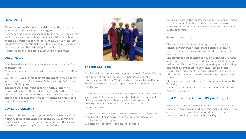### **Home Visits**

Please do not ask the doctor to visit unless the patient is genuinely too ill to come to the surgery.

Remember the doctor can see four to five patients in surgery during the time it takes to do one home visit, and it is at the doctor's discretion as to whether a home visit is necessary. Please give the receptionist brief details of your illness so the doctor can assess the order of priority of visits. If possible try to ring before 10am if you need a visit.

### **Out of Hours**

Wandsworth's Out of Hours service does not offer walk-in appointments.

Access to the service is, instead, via the national NHS 111 call line.

Calls to NHS 111 are free from mobile phones and landlines and the service can be accessed 24 hours a day, 365 days a year by dialling 1-1-1.

The team will assess your condition with a telephone consultation and, if it is clinically appropriate, they will refer your case to the out-of-hours service. This will result in either a face-to-face appointment to attend a primary care centre to see a doctor, or a home visit from one our doctors.

### **COVID Vaccinations**

Trevelyan House Surgery is proud to be the Primary Care Network local vaccination site for the COVID 19 vaccine. Clinics are arranged around the availability of the vaccine. Details are regularly updated on our website.



### **The Nursing Team**

Our Nurse Practitioners offer appointments booked on the day for a range of minor illnesses, e.g. urinary and chest infections, sore throats. They are able to prescribe medication. Please consider booking an appointment with them rather than the doctor.

Our Practice Nurses can be seen by appointment for numerous services including: clinics to monitor diabetes, asthma and blood pressure, family planning advice and repeat pill prescriptions, cervical smears, travel advice and immunisations.

Our Health Care Assistants provide NHS Health Checks and New Patient Checks as well as dressings and removal of stitches and ear syringing.

We offer phlebotomy (blood taking) services.

You may be asked the reason for booking an appointment with the nurse. This is so that you can see the most appropriate person and the correct length of time can be allocated to you.

### **Social Prescribing**

The social prescribing service supports you to take control of your own health, make positive lifestyles changes and decide what you would like to do to feel healthier.

The service is here to listen to you and connect you with opportunities in the community that might help you to feel better. This could include supporting you with things like managing your stress, loneliness, finding social groups, learning new skills, physical activity or getting information on employment, benefits, housing and legal advice.

The social prescriber attached to our surgery is Wioletta Tomialojc.

If you are 18 or over, you can ask your clinician to refer you to this service.

### **First Contact Practitioners (Physiotherapy)**

First contact practitioners should be the first contact for those with back, neck, joint pain and sports injuries. They are able to order investigations and make referrals. This service is provided on site by Surrey Physio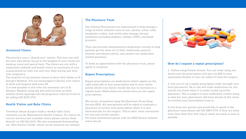

### **Antenatal Clinics**

The practice runs a "shared care" system. This way you will see your own doctor but go to the hospital of your choice for booking, scans and special tests. The clinics are run with a community midwife and health visitor so continuity of care is guaranteed for both you and your baby during and after your pregnancy.

The majority of our patients choose to have their babies at St George's Hospital. You are encouraged to discuss your choice of birth and hospital with your GP.

It is now possible to self-refer for antenatal care at St George's Hospital using the self-referral form on their website (www.stgeorges.nhs.uk/pregnancy-referral-form) or by calling 020 8725 1710.

### **Health Visitor and Baby Clinics**

Trevelyan House Surgery holds a weekly baby clinic routinely run by Wandsworth Health Visitors. For advice on current services and available clinics please contact them directly on 020 812 5654. We also recommend downloading our 'New Parent's Guide' which can be found on our website.

### **The Pharmacy Team**

Our Clinical Pharmacists are experienced to help manage a range of minor ailments such as cuts, sprains, aches, colds, headaches, rashes, and cystitis plus manage chronic conditions including diabetes, asthma, COPD, and blood pressure.

They also provide comprehensive medication reviews to help patients get the most out of their medication, general lifestyle and dietary advice, and answer any medication related questions.

To book an appointment with the pharmacy team, please speak to reception.

### **Repeat Prescriptions**

Repeat prescriptions are medications which appear on the right hand side of your prescription and in your online profile which your doctor would like you to continue on a regular basis. Medications not shown here are not repeat prescriptions.

We favour all patients using the Electronic Prescribing Service (EPS). All new patients will be asked to nominate a pharmacy to receive your prescription when it is sent electronically by the surgery. This is safer, more convenient for you and usually quicker.

For more information please visit the NHS Choices website: www.nhs.uk



### How do I request a repeat prescription?

1. Online using Patient Access. You can order using any device and the prescription will sent via EPS to your nominated chemist or you can collect it from the surgery.

2. You can set up a repeat prescription order through your local pharmacist. He or she will order medication for you and let you know when it is ready to pick up at the pharmacy. This is subject to your medication review being in date but your pharmacist will have details of this when he receives your prescription from us.

If you have any queries and would like to speak to the pharmacy team please call 020 3883 5719, if they are away from their desk they will ring or email you back as soon as possible.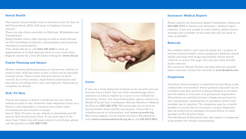### **Sexual Health**

The nearest sexual health clinic is located on the 1st floor of 160 Falcon Road, SW11 2LN (next to Clapham Junction station).

There are also clinics available in Mitcham, Wimbledon and Twickenham.

Sexual health clinics offer testing as well as useful details on STIs (including treatment), contraception and accessing emergency contraception.

Visit shswl.nhs.uk or call 0333 300 2100 to book an appointment or to find opening times of your local clinic. Register online for a free STI home testing kit: www.shl.uk.

### **Family Planning and Smears**

Women seeking family planning can always see a doctor or nurse if they wish but there is also a clinic run by specially trained nurses. These nurses will give advice on birth control, do cervical smears, teach breast examination and also advise on fitting coils, caps, and implants. Please ask at reception for details.

### **Sick/Fit Note**

You do not require a doctor's certificate for any illness lasting six days or less. However some employers insist on a Doctor's note regardless. A Doctors note under these circumstances may involve a charge.

Search 'Sick/ Fit note' on our website to download and fill out our Self Certification Form. If you have been ill for more than 7 days you will need a doctor's certificate, please call the practice on 020 3883 5700.



### **Carers**

If you are a Carer please let us know so we can give you our practice Carer's Pack. You can find a detailed page full of resources as well as register as a carer on our website by searching 'Carers'. For more information, please contact our Health & Social Care coordinator Mariam Gharda or Melanie Da Silva on 0203 883 5700. We encourage you to have an annual health check and flu vaccination. Carers UK is a valuable source of information, visit www.carersuk.org. More local support can be found via Carers Wandsworth, visit www.carerswandsworth.org.uk or call 020 8675 0811.

### **Insurance/ Medical Reports**

Please contact our Insurance Report Coordinator Jemma on 020 3883 5713 to discuss any insurance / medical report requests. If you are unable to reach Jemma, please leave a message and a member of the team will call you back as soon as possible.

### **Referrals**

Our website offers a self-referral option for a number of services (mental health, carers, pregnancy booking, sexual health and help with drugs and alcohol). Please search 'referral' to access this page. You can also track already made referrals.

Our secretary Wendy Drakes can help with any queries about referrals. Contact her directly at w.drakes@nhs.net.

### **Chaperones**

Trevelyan House Surgery is committed to providing a safe, comfortable environment where patients and staff can be confident that best practice is being followed at all times and the safety of everyone is of paramount importance. All patients are entitled to have a chaperone present for any consultation, examination or procedure where they consider one is required. The chaperone may be a family member or friend, but on occasions a formal chaperone may be preferred for example a Practice Nurse or other member of The Practice Team.

The Healthcare Professional may also require a chaperone to be present for certain consultations.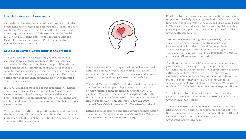### **Health Review and Assessments**

Our website provides a number of health review and selfassessment options that help both you and us monitor your condition. These range from Asthma, Blood Pressure and Contraception reviews to COPD assessments and Health (PHQ-9) and Wellbeing questionnaires. Please visit the Health Review and Assessment Clinic on our website to update the relevant section.

### Low Mood Service (Counselling at the practice)

The Low Mood Service is there for you to discuss your concerns so we can then decide what the best course of action may be. This may involve a change of lifestyle like doing something differently in your life. We may look at some techniques, websites or reading which may be of help or think about counselling services or a group. The other option may be medication depending on how debilitating your feelings may be.

If you would like to meet one of our counsellors to discuss your concerns then please fill in the Low Mood Patient Questionnaire and make an appointment either via the practice or online for an initial meeting. The questionnaire can be found on our website by searching 'Wellbeing Service Questionnaire'.

The completely confidential questionnaire is sent directly to the Senior Counsellor if completed online. Alternatively, it is perfectly acceptable to print it off, fill it in and bring it with you to your first appointment.



There are many fantastic organisations we have worked with for a number of years. Below are just a few we recommend. For a full list of free services available to you please visit the 'Wellbeing Centre' on our website.

The Coral Mental Health Crisis Hub is an alternative place of safety to the Emergency department for patients with primary mental health problems during the COVID-19 pandemic. The service is based at Springfield University Hospital and you can be referred to the hub via the Mental Health Support Line. Call (Referrals) 0800 028 8000 or email CoralCrisisAssessmentHubTeam@swlstg.nhs.uk

Rethink provide expert, accredited advice and information to everyone affected by mental health problems. Telephone: 0300 5000 927 or visit www.rethink.org.

Kooth is a free online counselling and emotional wellbeing support service, helping young people through this difficult time. Kooth is exclusively for people aged 11-22 years living in Wandsworth and does not have a waiting-list, meaning you can get the support you need when you need it. Visit www.kooth.com to join.

Talk Wandsworth (Talking Therapies/IAPT) can help if you are experiencing anxiety or stress, depression, bereavement or loss, sleep difficulties, anger issues, obsessive compulsive disorder, phobias, eating disorders and many other everyday problems. Call 0203 513 6264 or visit www.talkwandsworth.nhs.uk.

Togetherall is an online 24/7 community and anonymous, peer-2-peer platform supporting a range of mental wellbeing issues. It provides self-help programmes, creative outlets and a library of articles to help improve your wellbeing. When you're dealing with everyday distress or major life events, they'll help you get through it. This service is available free of charge if you are a Wandsworth resident. Call 0203 405 6196 or visit www.togetherall.com.

Silver Line is a free phone 24/7 support line for older people suffering with loneliness. Call 0800 4708 090 or visit www.thesilverline.org.uk

The Wandsworth Wellbeing Hub is a free and impartial NHS service which aims to help patients and the public to find organisations and services to support their health and wellbeing needs. Call 020 8812 6700 or visit www.wandsworthccg.nhs.uk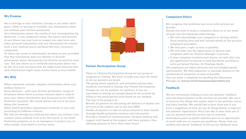### **We Promise**

Not to divulge to your relatives, friends or any other third party, either in writing or verbally, any information about you without your written permission.

Any information means: the results of any investigations (eg blood test, x-rays, pregnancy tests); the nature and severity of any illness you may have or suspect you may have; any other personal information and any information we receive from a non-medical source (eg Social Services, insurance companies).

To allow you access to information we keep on you, provided that this information does not identify or provide information about third parties not directly involved in your care. The law allows us to withhold information about you on the very rare occasions that we might have concerns that such information might cause serious harm to your health.

### We Will

When requested, provide complete information about your medical status to:

Social Services - with your written permission, except in situations where there is serious concern about a child in your care, where information may be passed on for Child Protection purposes. We would always tell you if we were doing this, however.

Other health providers legitimately involved in your care (according to Caldicott criteria).

We will not divulge any information about you without your consent unless ordered to do so by the Courts, or for Child Protection purposes, or in an emergency to protect you, or other people, from death or serious harm.



### **Patient Participation Group**

There is a Patient Participation Group for our group of surgeries in Tooting. We want to make sure that the views of all our patients are heard.

The group meets regularly, and welcomes anyone who would be interested in joining. Our Patient Participation Groups are run by patients, for patients. If you are interested in joining our groups please do let us know by filling in the participation form found on our website. The aim of the group is to:

Benefit all patients by discussing the delivery of health care services in the surgery and in the local NHS Enable all patients to take an active interest in their health through health promotion services and information Provide a channel of communication between medical and support staff based at the surgery and their patients, thus allowing patients to have their voice heard.

### **Complaints Policy**

We recognise that problems may arise with services we provide.

Should you wish to make a complaint about us or our work, we give you the following undertakings:

- We will acknowledge your complaint in writing within three working days and will include details of the practice complaints procedure;
- We will give a reply as soon as possible;
- We will offer you the opportunity to discuss your complaint with our Practice Manager in private;
- If your complaint involves your doctor, we will offer you the opportunity to discuss it with the doctor involved or with our Senior Partner, Dr Penelope Smith.

All complaints are taken seriously and are handled openly and honestly. We will endeavour to conclude matters to the satisfaction of all parties as soon as possible.

You can make a complaint by emailing the Operations Manager on waccg.trevelyanhousesurgery@nhs.net.

### Feedback

We are continually looking to turn out patients' feedback into real improvements in the services we provide. We use it to focus on the things that matter most to our patients, carers and their families. We would like to hear from you if you have a suggestion on how we can do things better to improve our patients' experiences. We'd also like to hear from you if you are pleased with the service you've received. Anonymous posts on public websites give us no opportunity to work with you to resolve any problems. Please visit our website and search 'feedback' to fill out our feedback form.